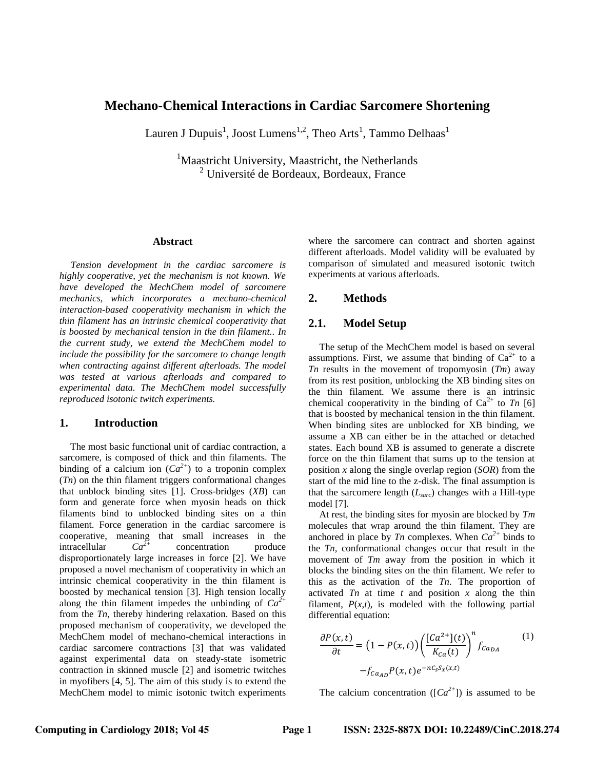# **Mechano-Chemical Interactions in Cardiac Sarcomere Shortening**

Lauren J Dupuis<sup>1</sup>, Joost Lumens<sup>1,2</sup>, Theo Arts<sup>1</sup>, Tammo Delhaas<sup>1</sup>

<sup>1</sup>Maastricht University, Maastricht, the Netherlands  $2$  Université de Bordeaux, Bordeaux, France

### **Abstract**

*Tension development in the cardiac sarcomere is highly cooperative, yet the mechanism is not known. We have developed the MechChem model of sarcomere mechanics, which incorporates a mechano-chemical interaction-based cooperativity mechanism in which the thin filament has an intrinsic chemical cooperativity that is boosted by mechanical tension in the thin filament.. In the current study, we extend the MechChem model to include the possibility for the sarcomere to change length when contracting against different afterloads. The model was tested at various afterloads and compared to experimental data. The MechChem model successfully reproduced isotonic twitch experiments.* 

### **1. Introduction**

The most basic functional unit of cardiac contraction, a sarcomere, is composed of thick and thin filaments. The binding of a calcium ion  $(Ca^{2+})$  to a troponin complex (*Tn*) on the thin filament triggers conformational changes that unblock binding sites [1]. Cross-bridges (*XB*) can form and generate force when myosin heads on thick filaments bind to unblocked binding sites on a thin filament. Force generation in the cardiac sarcomere is cooperative, meaning that small increases in the intracellular *Ca2+* concentration produce disproportionately large increases in force [2]. We have proposed a novel mechanism of cooperativity in which an intrinsic chemical cooperativity in the thin filament is boosted by mechanical tension [3]. High tension locally along the thin filament impedes the unbinding of  $Ca^{2+}$ from the *Tn*, thereby hindering relaxation. Based on this proposed mechanism of cooperativity, we developed the MechChem model of mechano-chemical interactions in cardiac sarcomere contractions [3] that was validated against experimental data on steady-state isometric contraction in skinned muscle [2] and isometric twitches in myofibers [4, 5]. The aim of this study is to extend the MechChem model to mimic isotonic twitch experiments

where the sarcomere can contract and shorten against different afterloads. Model validity will be evaluated by comparison of simulated and measured isotonic twitch experiments at various afterloads.

## **2. Methods**

### **2.1. Model Setup**

The setup of the MechChem model is based on several assumptions. First, we assume that binding of  $Ca^{2+}$  to a *Tn* results in the movement of tropomyosin (*Tm*) away from its rest position, unblocking the XB binding sites on the thin filament. We assume there is an intrinsic chemical cooperativity in the binding of  $Ca^{2+}$  to *Tn* [6] that is boosted by mechanical tension in the thin filament. When binding sites are unblocked for XB binding, we assume a XB can either be in the attached or detached states. Each bound XB is assumed to generate a discrete force on the thin filament that sums up to the tension at position *x* along the single overlap region (*SOR*) from the start of the mid line to the z-disk. The final assumption is that the sarcomere length (*Lsarc*) changes with a Hill-type model [7].

At rest, the binding sites for myosin are blocked by *Tm* molecules that wrap around the thin filament. They are anchored in place by *Tn* complexes. When  $Ca^{2+}$  binds to the *Tn*, conformational changes occur that result in the movement of *Tm* away from the position in which it blocks the binding sites on the thin filament. We refer to this as the activation of the *Tn*. The proportion of activated *Tn* at time *t* and position *x* along the thin filament,  $P(x,t)$ , is modeled with the following partial differential equation:

$$
\frac{\partial P(x,t)}{\partial t} = \left(1 - P(x,t)\right) \left(\frac{[Ca^{2+}](t)}{K_{Ca}(t)}\right)^n f_{Ca_{DA}} \tag{1}
$$
\n
$$
-f_{Ca_{AD}} P(x,t) e^{-nC_S S_x(x,t)}
$$

The calcium concentration ( $[Ca^{2+}]$ ) is assumed to be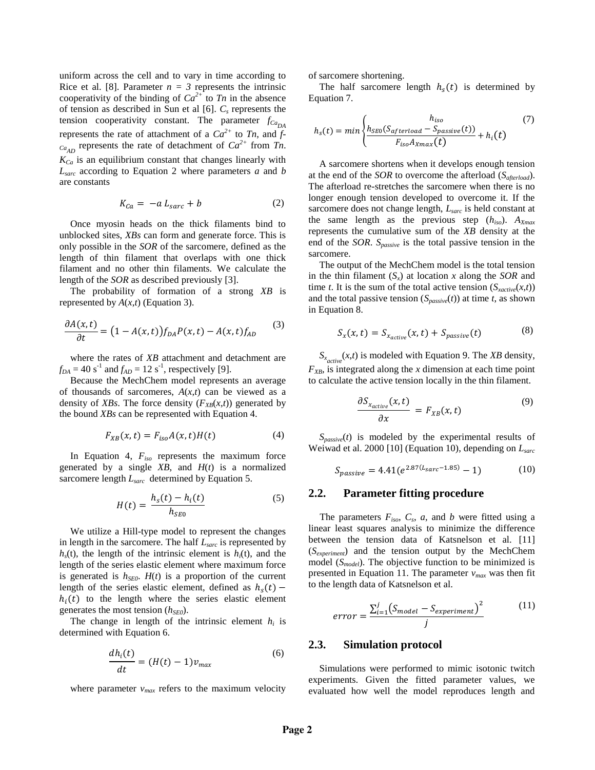uniform across the cell and to vary in time according to Rice et al. [8]. Parameter  $n = 3$  represents the intrinsic cooperativity of the binding of  $Ca^{2+}$  to *Tn* in the absence of tension as described in Sun et al [6]. *C<sup>s</sup>* represents the tension cooperativity constant. The parameter  $f_{Ca<sub>DA</sub>}$ represents the rate of attachment of a  $Ca^{2+}$  to  $Tn$ , and  $f$  $c_{a_{AD}}$  represents the rate of detachment of  $Ca^{2+}$  from  $Tn$ . *KCa* is an equilibrium constant that changes linearly with *Lsarc* according to Equation 2 where parameters *a* and *b* are constants

$$
K_{Ca} = -a L_{sarc} + b \tag{2}
$$

Once myosin heads on the thick filaments bind to unblocked sites, *XBs* can form and generate force. This is only possible in the *SOR* of the sarcomere, defined as the length of thin filament that overlaps with one thick filament and no other thin filaments. We calculate the length of the *SOR* as described previously [3].

The probability of formation of a strong *XB* is represented by  $A(x,t)$  (Equation 3).

$$
\frac{\partial A(x,t)}{\partial t} = (1 - A(x,t))f_{DA}P(x,t) - A(x,t)f_{AD}
$$
(3)

where the rates of *XB* attachment and detachment are  $f_{DA} = 40 \text{ s}^{-1}$  and  $f_{AD} = 12 \text{ s}^{-1}$ , respectively [9].

Because the MechChem model represents an average of thousands of sarcomeres, *A*(*x*,*t*) can be viewed as a density of *XBs*. The force density  $(F_{XB}(x,t))$  generated by the bound *XBs* can be represented with Equation 4.

$$
F_{XB}(x,t) = F_{iso}A(x,t)H(t)
$$
\n(4)

In Equation 4, *Fiso* represents the maximum force generated by a single *XB*, and *H*(*t*) is a normalized sarcomere length *Lsarc* determined by Equation 5.

$$
H(t) = \frac{h_s(t) - h_i(t)}{h_{SE0}}
$$
 (5)

We utilize a Hill-type model to represent the changes in length in the sarcomere. The half *Lsarc* is represented by  $h<sub>s</sub>(t)$ , the length of the intrinsic element is  $h<sub>i</sub>(t)$ , and the length of the series elastic element where maximum force is generated is  $h_{\text{SED}}$ .  $H(t)$  is a proportion of the current length of the series elastic element, defined as  $h_c(t)$  –  $h_i(t)$  to the length where the series elastic element generates the most tension (*hSE0*).

The change in length of the intrinsic element  $h_i$  is determined with Equation 6.

$$
\frac{dh_i(t)}{dt} = (H(t) - 1)v_{max} \tag{6}
$$

where parameter  $v_{max}$  refers to the maximum velocity

of sarcomere shortening.

The half sarcomere length  $h<sub>s</sub>(t)$  is determined by Equation 7.

$$
h_s(t) = min \left\{ \frac{h_{iso}}{F_{iso}(S_{afterload} - S_{passive}(t))} + h_i(t) \right\}
$$
(7)

A sarcomere shortens when it develops enough tension at the end of the *SOR* to overcome the afterload (*Safterload*). The afterload re-stretches the sarcomere when there is no longer enough tension developed to overcome it. If the sarcomere does not change length, *Lsarc* is held constant at the same length as the previous step (*hiso*). *AXmax* represents the cumulative sum of the *XB* density at the end of the *SOR*. *Spassive* is the total passive tension in the sarcomere.

The output of the MechChem model is the total tension in the thin filament (*Sx*) at location *x* along the *SOR* and time *t*. It is the sum of the total active tension  $(S_{\text{xactive}}(x,t))$ and the total passive tension  $(S_{passive}(t))$  at time *t*, as shown in Equation 8.

$$
S_x(x,t) = S_{x_{active}}(x,t) + S_{passive}(t)
$$
 (8)

 $S_{\text{x}_{active}}(x, t)$  is modeled with Equation 9. The *XB* density,  $F_{XB}$ , is integrated along the *x* dimension at each time point to calculate the active tension locally in the thin filament.

$$
\frac{\partial S_{x_{active}}(x, t)}{\partial x} = F_{XB}(x, t) \tag{9}
$$

 $S_{passive}(t)$  is modeled by the experimental results of Weiwad et al. 2000 [10] (Equation 10), depending on *Lsarc*

$$
S_{passive} = 4.41(e^{2.87(L_{sarc} - 1.85)} - 1)
$$
 (10)

### **2.2. Parameter fitting procedure**

The parameters  $F_{iso}$ ,  $C_s$ ,  $a$ , and  $b$  were fitted using a linear least squares analysis to minimize the difference between the tension data of Katsnelson et al. [11] (*Sexperiment*) and the tension output by the MechChem model (*Smodel*). The objective function to be minimized is presented in Equation 11. The parameter *vmax* was then fit to the length data of Katsnelson et al.

$$
error = \frac{\sum_{i=1}^{j} (S_{model} - S_{experiment})^2}{j}
$$
(11)

#### **2.3. Simulation protocol**

Simulations were performed to mimic isotonic twitch experiments. Given the fitted parameter values, we evaluated how well the model reproduces length and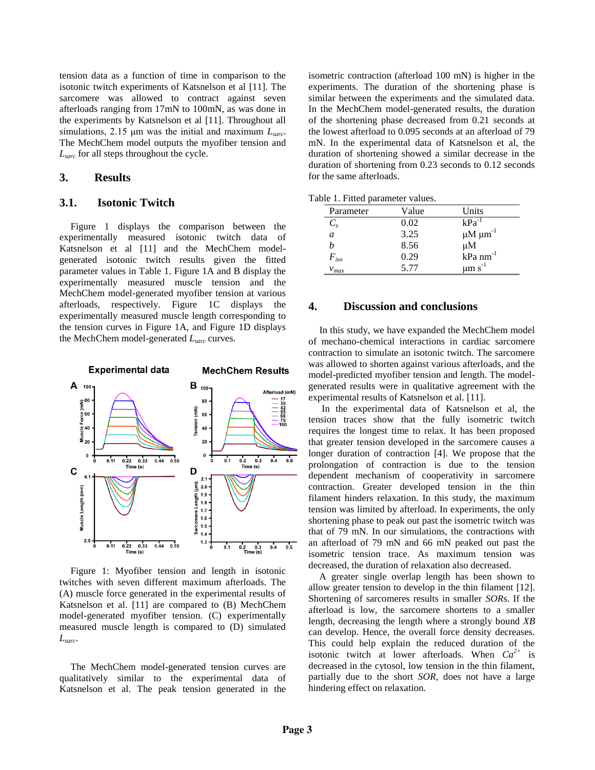tension data as a function of time in comparison to the isotonic twitch experiments of Katsnelson et al [11]. The sarcomere was allowed to contract against seven afterloads ranging from 17mN to 100mN, as was done in the experiments by Katsnelson et al [11]. Throughout all simulations, 2.15 μm was the initial and maximum *Lsarc*. The MechChem model outputs the myofiber tension and *Lsarc* for all steps throughout the cycle.

## **3. Results**

## **3.1. Isotonic Twitch**

Figure 1 displays the comparison between the experimentally measured isotonic twitch data of Katsnelson et al [11] and the MechChem modelgenerated isotonic twitch results given the fitted parameter values in Table 1. Figure 1A and B display the experimentally measured muscle tension and the MechChem model-generated myofiber tension at various afterloads, respectively. Figure 1C displays the experimentally measured muscle length corresponding to the tension curves in Figure 1A, and Figure 1D displays the MechChem model-generated *Lsarc* curves.



Figure 1: Myofiber tension and length in isotonic twitches with seven different maximum afterloads. The (A) muscle force generated in the experimental results of Katsnelson et al. [11] are compared to (B) MechChem model-generated myofiber tension. (C) experimentally measured muscle length is compared to (D) simulated *Lsarc*.

The MechChem model-generated tension curves are qualitatively similar to the experimental data of Katsnelson et al. The peak tension generated in the

isometric contraction (afterload 100 mN) is higher in the experiments. The duration of the shortening phase is similar between the experiments and the simulated data. In the MechChem model-generated results, the duration of the shortening phase decreased from 0.21 seconds at the lowest afterload to 0.095 seconds at an afterload of 79 mN. In the experimental data of Katsnelson et al, the duration of shortening showed a similar decrease in the duration of shortening from 0.23 seconds to 0.12 seconds for the same afterloads.

|  |  | Table 1. Fitted parameter values. |  |
|--|--|-----------------------------------|--|
|--|--|-----------------------------------|--|

| Parameter     | Value | Units                         |  |
|---------------|-------|-------------------------------|--|
| $C_{s}$       | 0.02  | kPa                           |  |
| a             | 3.25  | $\mu$ M $\mu$ m <sup>-1</sup> |  |
| h             | 8.56  | $\mu$ M                       |  |
| $F_{\rm iso}$ | 0.29  | kPa nm <sup>-1</sup>          |  |
| $v_{max}$     | 5.77  | um s                          |  |

## **4. Discussion and conclusions**

In this study, we have expanded the MechChem model of mechano-chemical interactions in cardiac sarcomere contraction to simulate an isotonic twitch. The sarcomere was allowed to shorten against various afterloads, and the model-predicted myofiber tension and length. The modelgenerated results were in qualitative agreement with the experimental results of Katsnelson et al. [11].

In the experimental data of Katsnelson et al, the tension traces show that the fully isometric twitch requires the longest time to relax. It has been proposed that greater tension developed in the sarcomere causes a longer duration of contraction [4]. We propose that the prolongation of contraction is due to the tension dependent mechanism of cooperativity in sarcomere contraction. Greater developed tension in the thin filament hinders relaxation. In this study, the maximum tension was limited by afterload. In experiments, the only shortening phase to peak out past the isometric twitch was that of 79 mN. In our simulations, the contractions with an afterload of 79 mN and 66 mN peaked out past the isometric tension trace. As maximum tension was decreased, the duration of relaxation also decreased.

A greater single overlap length has been shown to allow greater tension to develop in the thin filament [12]. Shortening of sarcomeres results in smaller *SOR*s. If the afterload is low, the sarcomere shortens to a smaller length, decreasing the length where a strongly bound *XB* can develop. Hence, the overall force density decreases. This could help explain the reduced duration of the isotonic twitch at lower afterloads. When  $Ca^{2+}$  is decreased in the cytosol, low tension in the thin filament, partially due to the short *SOR*, does not have a large hindering effect on relaxation.